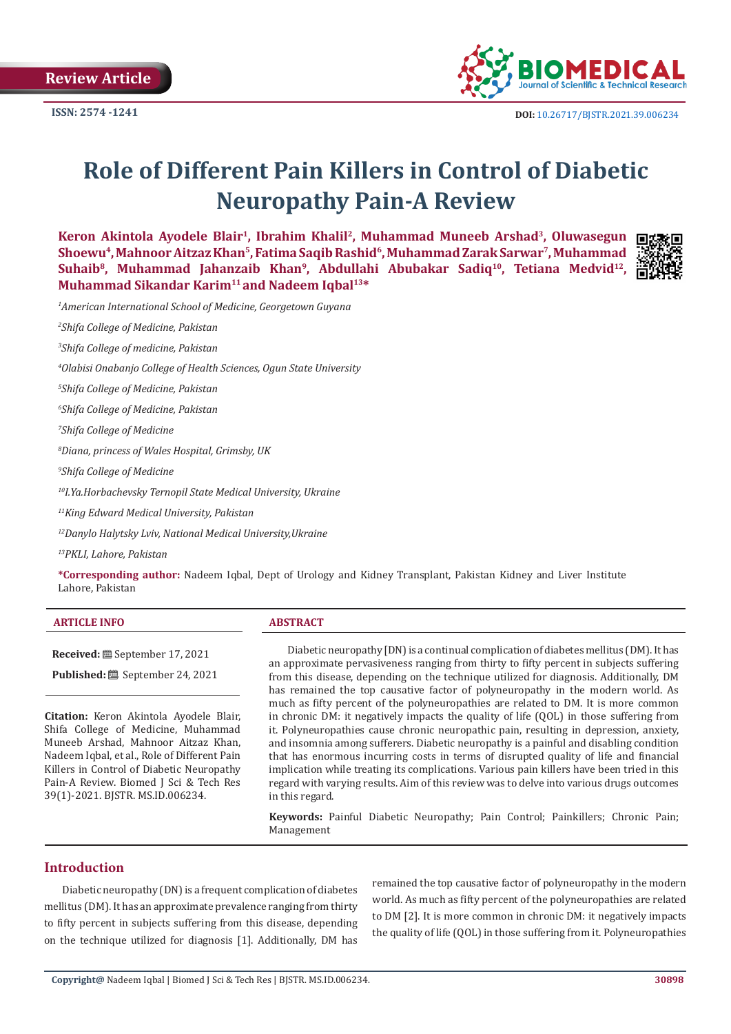

# **Role of Different Pain Killers in Control of Diabetic Neuropathy Pain-A Review**

**Keron Akintola Ayodele Blair1, Ibrahim Khalil2, Muhammad Muneeb Arshad3, Oluwasegun**  Shoewu<sup>4</sup>, Mahnoor Aitzaz Khan<sup>5</sup>, Fatima Saqib Rashid<sup>6</sup>, Muhammad Zarak Sarwar<sup>7</sup>, Muhammad Suhaib<sup>8</sup>, Muhammad Jahanzaib Khan<sup>9</sup>, Abdullahi Abubakar Sadiq<sup>10</sup>, Tetiana Medvid<sup>12</sup>, **Muhammad Sikandar Karim11 and Nadeem Iqbal13\***



*1 American International School of Medicine, Georgetown Guyana*

*2 Shifa College of Medicine, Pakistan*

*3 Shifa College of medicine, Pakistan*

*4 Olabisi Onabanjo College of Health Sciences, Ogun State University*

*5 Shifa College of Medicine, Pakistan*

*6 Shifa College of Medicine, Pakistan*

*7 Shifa College of Medicine*

*8 Diana, princess of Wales Hospital, Grimsby, UK*

*9 Shifa College of Medicine*

*10I.Ya.Horbachevsky Ternopil State Medical University, Ukraine*

*11King Edward Medical University, Pakistan*

*12Danylo Halytsky Lviv, National Medical University,Ukraine*

*13PKLI, Lahore, Pakistan*

**\*Corresponding author:** Nadeem Iqbal, Dept of Urology and Kidney Transplant, Pakistan Kidney and Liver Institute Lahore, Pakistan

| 2.000<br>______      |                                                  |     |                   |   |              |  |
|----------------------|--------------------------------------------------|-----|-------------------|---|--------------|--|
| $\sim$ $\sim$ $\sim$ | $\sim$ $\sim$ $\sim$ $\sim$ $\sim$<br>$\sim$ 3.1 | . . | $\mathbf{u}$<br>. | . | $\mathbf{1}$ |  |

Published: **iii** September 24, 2021

**Received:** September 17, 2021

**Citation:** Keron Akintola Ayodele Blair, Shifa College of Medicine, Muhammad Muneeb Arshad, Mahnoor Aitzaz Khan, Nadeem Iqbal, et al., Role of Different Pain Killers in Control of Diabetic Neuropathy Pain-A Review. Biomed J Sci & Tech Res 39(1)-2021. BJSTR. MS.ID.006234.

Diabetic neuropathy [DN) is a continual complication of diabetes mellitus (DM). It has an approximate pervasiveness ranging from thirty to fifty percent in subjects suffering from this disease, depending on the technique utilized for diagnosis. Additionally, DM has remained the top causative factor of polyneuropathy in the modern world. As much as fifty percent of the polyneuropathies are related to DM. It is more common in chronic DM: it negatively impacts the quality of life (QOL) in those suffering from it. Polyneuropathies cause chronic neuropathic pain, resulting in depression, anxiety, and insomnia among sufferers. Diabetic neuropathy is a painful and disabling condition that has enormous incurring costs in terms of disrupted quality of life and financial implication while treating its complications. Various pain killers have been tried in this regard with varying results. Aim of this review was to delve into various drugs outcomes in this regard.

**Keywords:** Painful Diabetic Neuropathy; Pain Control; Painkillers; Chronic Pain; Management

# **Introduction**

Diabetic neuropathy (DN) is a frequent complication of diabetes mellitus (DM). It has an approximate prevalence ranging from thirty to fifty percent in subjects suffering from this disease, depending on the technique utilized for diagnosis [1]. Additionally, DM has remained the top causative factor of polyneuropathy in the modern world. As much as fifty percent of the polyneuropathies are related to DM [2]. It is more common in chronic DM: it negatively impacts the quality of life (QOL) in those suffering from it. Polyneuropathies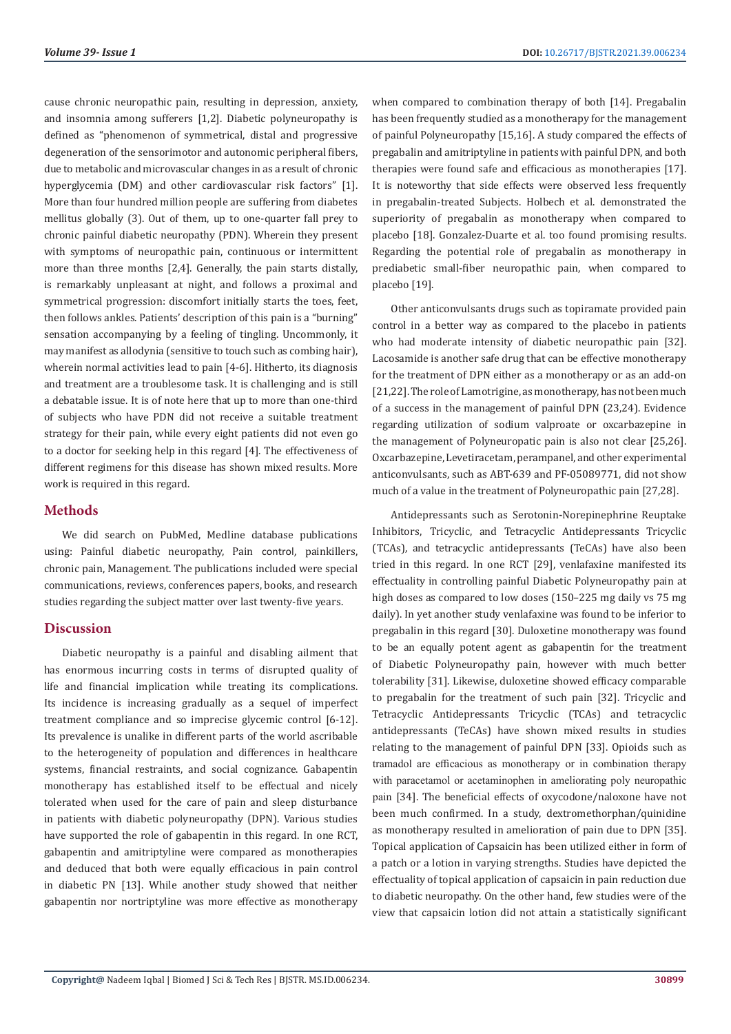cause chronic neuropathic pain, resulting in depression, anxiety, and insomnia among sufferers [1,2]. Diabetic polyneuropathy is defined as "phenomenon of symmetrical, distal and progressive degeneration of the sensorimotor and autonomic peripheral fibers, due to metabolic and microvascular changes in as a result of chronic hyperglycemia (DM) and other cardiovascular risk factors" [1]. More than four hundred million people are suffering from diabetes mellitus globally (3). Out of them, up to one-quarter fall prey to chronic painful diabetic neuropathy (PDN). Wherein they present with symptoms of neuropathic pain, continuous or intermittent more than three months [2,4]. Generally, the pain starts distally, is remarkably unpleasant at night, and follows a proximal and symmetrical progression: discomfort initially starts the toes, feet, then follows ankles. Patients' description of this pain is a "burning" sensation accompanying by a feeling of tingling. Uncommonly, it may manifest as allodynia (sensitive to touch such as combing hair), wherein normal activities lead to pain [4-6]. Hitherto, its diagnosis and treatment are a troublesome task. It is challenging and is still a debatable issue. It is of note here that up to more than one-third of subjects who have PDN did not receive a suitable treatment strategy for their pain, while every eight patients did not even go to a doctor for seeking help in this regard [4]. The effectiveness of different regimens for this disease has shown mixed results. More work is required in this regard.

## **Methods**

We did search on PubMed, Medline database publications using: Painful diabetic neuropathy, [Pain](https://www.iomcworld.org/medical-journals/pain-49617.html) control, painkillers, chronic pain, Management. The publications included were special communications, reviews, conferences papers, books, and research studies regarding the subject matter over last twenty-five years.

# **Discussion**

Diabetic neuropathy is a painful and disabling ailment that has enormous incurring costs in terms of disrupted quality of life and financial implication while treating its complications. Its incidence is increasing gradually as a sequel of imperfect treatment compliance and so imprecise glycemic control [6-12]. Its prevalence is unalike in different parts of the world ascribable to the heterogeneity of population and differences in healthcare systems, financial restraints, and social cognizance. Gabapentin monotherapy has established itself to be effectual and nicely tolerated when used for the care of pain and sleep disturbance in patients with diabetic polyneuropathy (DPN). Various studies have supported the role of gabapentin in this regard. In one RCT, gabapentin and amitriptyline were compared as monotherapies and deduced that both were equally efficacious in pain control in diabetic PN [13]. While another study showed that neither gabapentin nor nortriptyline was more effective as monotherapy

when compared to combination therapy of both [14]. Pregabalin has been frequently studied as a monotherapy for the management of painful Polyneuropathy [15,16]. A study compared the effects of pregabalin and amitriptyline in patients with painful DPN, and both therapies were found safe and efficacious as monotherapies [17]. It is noteworthy that side effects were observed less frequently in pregabalin-treated Subjects. Holbech et al. demonstrated the superiority of pregabalin as monotherapy when compared to placebo [18]. Gonzalez-Duarte et al. too found promising results. Regarding the potential role of pregabalin as monotherapy in prediabetic small-fiber neuropathic pain, when compared to placebo [19].

Other anticonvulsants drugs such as topiramate provided pain control in a better way as compared to the placebo in patients who had moderate intensity of diabetic neuropathic pain [32]. Lacosamide is another safe drug that can be effective monotherapy for the treatment of DPN either as a monotherapy or as an add-on [21,22]. The role of Lamotrigine, as monotherapy, has not been much of a success in the management of painful DPN (23,24). Evidence regarding utilization of sodium valproate or oxcarbazepine in the management of Polyneuropatic pain is also not clear [25,26]. Oxcarbazepine, Levetiracetam, perampanel, and other experimental anticonvulsants, such as ABT-639 and PF-05089771, did not show much of a value in the treatment of Polyneuropathic pain [27,28].

Antidepressants such as Serotonin**-**Norepinephrine Reuptake Inhibitors, Tricyclic, and Tetracyclic Antidepressants Tricyclic (TCAs), and tetracyclic antidepressants (TeCAs) have also been tried in this regard. In one RCT [29], venlafaxine manifested its effectuality in controlling painful Diabetic Polyneuropathy pain at high doses as compared to low doses (150–225 mg daily vs 75 mg daily). In yet another study venlafaxine was found to be inferior to pregabalin in this regard [30]. Duloxetine monotherapy was found to be an equally potent agent as gabapentin for the treatment of Diabetic Polyneuropathy pain, however with much better tolerability [31]. Likewise, duloxetine showed efficacy comparable to pregabalin for the treatment of such pain [32]. Tricyclic and Tetracyclic Antidepressants Tricyclic (TCAs) and tetracyclic antidepressants (TeCAs) have shown mixed results in studies relating to the management of painful DPN [33]. Opioids such as tramadol are efficacious as monotherapy or in combination therapy with paracetamol or acetaminophen in ameliorating poly neuropathic pain [34]. The beneficial effects of oxycodone/naloxone have not been much confirmed. In a study, dextromethorphan/quinidine as monotherapy resulted in amelioration of pain due to DPN [35]. Topical application of Capsaicin has been utilized either in form of a patch or a lotion in varying strengths. Studies have depicted the effectuality of topical application of capsaicin in pain reduction due to diabetic neuropathy. On the other hand, few studies were of the view that capsaicin lotion did not attain a statistically significant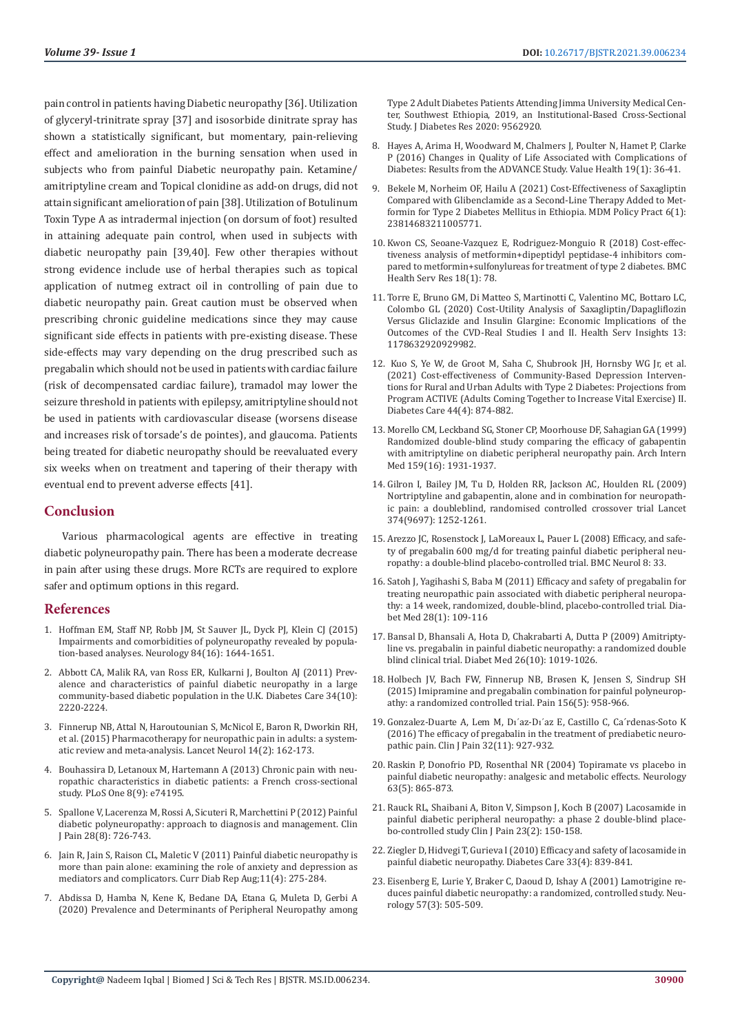pain control in patients having Diabetic neuropathy [36]. Utilization of glyceryl-trinitrate spray [37] and isosorbide dinitrate spray has shown a statistically significant, but momentary, pain-relieving effect and amelioration in the burning sensation when used in subjects who from painful Diabetic neuropathy pain. Ketamine/ amitriptyline cream and Topical clonidine as add-on drugs, did not attain significant amelioration of pain [38]. Utilization of Botulinum Toxin Type A as intradermal injection (on dorsum of foot) resulted in attaining adequate pain control, when used in subjects with diabetic neuropathy pain [39,40]. Few other therapies without strong evidence include use of herbal therapies such as topical application of nutmeg extract oil in controlling of pain due to diabetic neuropathy pain. Great caution must be observed when prescribing chronic guideline medications since they may cause significant side effects in patients with pre-existing disease. These side-effects may vary depending on the drug prescribed such as pregabalin which should not be used in patients with cardiac failure (risk of decompensated cardiac failure), tramadol may lower the seizure threshold in patients with epilepsy, amitriptyline should not be used in patients with cardiovascular disease (worsens disease and increases risk of torsade's de pointes), and glaucoma. Patients being treated for diabetic neuropathy should be reevaluated every six weeks when on treatment and tapering of their therapy with eventual end to prevent adverse effects [41].

### **Conclusion**

Various pharmacological agents are effective in treating diabetic polyneuropathy pain. There has been a moderate decrease in pain after using these drugs. More RCTs are required to explore safer and optimum options in this regard.

#### **References**

- 1. [Hoffman EM, Staff NP, Robb JM, St Sauver JL, Dyck PJ, Klein CJ \(2015\)](https://www.ncbi.nlm.nih.gov/pmc/articles/PMC4409579/)  [Impairments and comorbidities of polyneuropathy revealed by popula](https://www.ncbi.nlm.nih.gov/pmc/articles/PMC4409579/)[tion-based analyses. Neurology 84\(16\): 1644-1651.](https://www.ncbi.nlm.nih.gov/pmc/articles/PMC4409579/)
- 2. [Abbott CA, Malik RA, van Ross ER, Kulkarni J, Boulton AJ \(2011\) Prev](https://pubmed.ncbi.nlm.nih.gov/21852677/)[alence and characteristics of painful diabetic neuropathy in a large](https://pubmed.ncbi.nlm.nih.gov/21852677/)  [community-based diabetic population in the U.K. Diabetes Care 34\(10\):](https://pubmed.ncbi.nlm.nih.gov/21852677/)  [2220-2224.](https://pubmed.ncbi.nlm.nih.gov/21852677/)
- 3. [Finnerup NB, Attal N, Haroutounian S, McNicol E, Baron R, Dworkin RH,](https://pubmed.ncbi.nlm.nih.gov/25575710/)  [et al. \(2015\) Pharmacotherapy for neuropathic pain in adults: a system](https://pubmed.ncbi.nlm.nih.gov/25575710/)[atic review and meta-analysis. Lancet Neurol 14\(2\): 162-173.](https://pubmed.ncbi.nlm.nih.gov/25575710/)
- 4. [Bouhassira D, Letanoux M, Hartemann A \(2013\) Chronic pain with neu](https://pubmed.ncbi.nlm.nih.gov/24058527/)[ropathic characteristics in diabetic patients: a French cross-sectional](https://pubmed.ncbi.nlm.nih.gov/24058527/)  [study. PLoS One 8\(9\): e74195.](https://pubmed.ncbi.nlm.nih.gov/24058527/)
- 5. [Spallone V, Lacerenza M, Rossi A, Sicuteri R, Marchettini P \(2012\) Painful](https://pubmed.ncbi.nlm.nih.gov/22209797/)  [diabetic polyneuropathy: approach to diagnosis and management. Clin](https://pubmed.ncbi.nlm.nih.gov/22209797/)  [J Pain 28\(8\): 726-743](https://pubmed.ncbi.nlm.nih.gov/22209797/).
- 6. [Jain R, Jain S, Raison CL, Maletic V \(2011\) Painful diabetic neuropathy is](https://link.springer.com/article/10.1007/s11892-011-0202-2)  [more than pain alone: examining the role of anxiety and depression as](https://link.springer.com/article/10.1007/s11892-011-0202-2)  [mediators and complicators. Curr Diab Rep Aug;11\(4\): 275-284.](https://link.springer.com/article/10.1007/s11892-011-0202-2)
- 7. [Abdissa D, Hamba N, Kene K, Bedane DA, Etana G, Muleta D, Gerbi A](https://www.hindawi.com/journals/jdr/2020/9562920/)  [\(2020\) Prevalence and Determinants of Peripheral Neuropathy among](https://www.hindawi.com/journals/jdr/2020/9562920/)

[Type 2 Adult Diabetes Patients Attending Jimma University Medical Cen](https://www.hindawi.com/journals/jdr/2020/9562920/)[ter, Southwest Ethiopia, 2019, an Institutional-Based Cross-Sectional](https://www.hindawi.com/journals/jdr/2020/9562920/) [Study. J Diabetes Res 2020: 9562920.](https://www.hindawi.com/journals/jdr/2020/9562920/)

- 8. [Hayes A, Arima H, Woodward M, Chalmers J, Poulter N, Hamet P, Clarke](https://pubmed.ncbi.nlm.nih.gov/26797234/) [P \(2016\) Changes in Quality of Life Associated with Complications of](https://pubmed.ncbi.nlm.nih.gov/26797234/) [Diabetes: Results from the ADVANCE Study. Value Health 19\(1\): 36-41.](https://pubmed.ncbi.nlm.nih.gov/26797234/)
- 9. [Bekele M, Norheim OF, Hailu A \(2021\) Cost-Effectiveness of Saxagliptin](https://pubmed.ncbi.nlm.nih.gov/34104781/) [Compared with Glibenclamide as a Second-Line Therapy Added to Met](https://pubmed.ncbi.nlm.nih.gov/34104781/)[formin for Type 2 Diabetes Mellitus in Ethiopia. MDM Policy Pract 6\(1\):](https://pubmed.ncbi.nlm.nih.gov/34104781/) [23814683211005771.](https://pubmed.ncbi.nlm.nih.gov/34104781/)
- 10. [Kwon CS, Seoane-Vazquez E, Rodriguez-Monguio R \(2018\) Cost-effec](https://pubmed.ncbi.nlm.nih.gov/29391064/%5d)[tiveness analysis of metformin+dipeptidyl peptidase-4 inhibitors com](https://pubmed.ncbi.nlm.nih.gov/29391064/%5d)[pared to metformin+sulfonylureas for treatment of type 2 diabetes. BMC](https://pubmed.ncbi.nlm.nih.gov/29391064/%5d) [Health Serv Res 18\(1\): 78.](https://pubmed.ncbi.nlm.nih.gov/29391064/%5d)
- 11. [Torre E, Bruno GM, Di Matteo S, Martinotti C, Valentino MC, Bottaro LC,](https://www.ncbi.nlm.nih.gov/pmc/articles/PMC7298424/) [Colombo GL \(2020\) Cost-Utility Analysis of Saxagliptin/Dapagliflozin](https://www.ncbi.nlm.nih.gov/pmc/articles/PMC7298424/) [Versus Gliclazide and Insulin Glargine: Economic Implications of the](https://www.ncbi.nlm.nih.gov/pmc/articles/PMC7298424/) [Outcomes of the CVD-Real Studies I and II. Health Serv Insights 13:](https://www.ncbi.nlm.nih.gov/pmc/articles/PMC7298424/) [1178632920929982.](https://www.ncbi.nlm.nih.gov/pmc/articles/PMC7298424/)
- 12. [Kuo S, Ye W, de Groot M, Saha C, Shubrook JH, Hornsby WG Jr, et al.](https://care.diabetesjournals.org/content/44/4/874) [\(2021\) Cost-effectiveness of Community-Based Depression Interven](https://care.diabetesjournals.org/content/44/4/874)[tions for Rural and Urban Adults with Type 2 Diabetes: Projections from](https://care.diabetesjournals.org/content/44/4/874) [Program ACTIVE \(Adults Coming Together to Increase Vital Exercise\) II.](https://care.diabetesjournals.org/content/44/4/874) [Diabetes Care 44\(4\): 874-882.](https://care.diabetesjournals.org/content/44/4/874)
- 13. [Morello CM, Leckband SG, Stoner CP, Moorhouse DF, Sahagian GA \(1999\)](https://pubmed.ncbi.nlm.nih.gov/10493324/) [Randomized double-blind study comparing the efficacy of gabapentin](https://pubmed.ncbi.nlm.nih.gov/10493324/) [with amitriptyline on diabetic peripheral neuropathy pain. Arch Intern](https://pubmed.ncbi.nlm.nih.gov/10493324/) [Med 159\(16\): 1931-1937.](https://pubmed.ncbi.nlm.nih.gov/10493324/)
- 14. [Gilron I, Bailey JM, Tu D, Holden RR, Jackson AC, Houlden RL \(2009\)](https://pubmed.ncbi.nlm.nih.gov/19796802/) [Nortriptyline and gabapentin, alone and in combination for neuropath](https://pubmed.ncbi.nlm.nih.gov/19796802/)[ic pain: a doubleblind, randomised controlled crossover trial Lancet](https://pubmed.ncbi.nlm.nih.gov/19796802/) [374\(9697\): 1252-1261.](https://pubmed.ncbi.nlm.nih.gov/19796802/)
- 15. [Arezzo JC, Rosenstock J, LaMoreaux L, Pauer L \(2008\) Efficacy, and safe](https://www.ncbi.nlm.nih.gov/pmc/articles/PMC2565674/)[ty of pregabalin 600 mg/d for treating painful diabetic peripheral neu](https://www.ncbi.nlm.nih.gov/pmc/articles/PMC2565674/)[ropathy: a double-blind placebo-controlled trial. BMC Neurol 8: 33.](https://www.ncbi.nlm.nih.gov/pmc/articles/PMC2565674/)
- 16. [Satoh J, Yagihashi S, Baba M \(2011\) Efficacy and safety of pregabalin for](https://pubmed.ncbi.nlm.nih.gov/21166852/) [treating neuropathic pain associated with diabetic peripheral neuropa](https://pubmed.ncbi.nlm.nih.gov/21166852/)[thy: a 14 week, randomized, double-blind, placebo-controlled trial. Dia](https://pubmed.ncbi.nlm.nih.gov/21166852/)[bet Med 28\(1\): 109-116](https://pubmed.ncbi.nlm.nih.gov/21166852/)
- 17. [Bansal D, Bhansali A, Hota D, Chakrabarti A, Dutta P \(2009\) Amitripty](https://pubmed.ncbi.nlm.nih.gov/19900234/)[line vs. pregabalin in painful diabetic neuropathy: a randomized double](https://pubmed.ncbi.nlm.nih.gov/19900234/) [blind clinical trial. Diabet Med 26\(10\): 1019-1026.](https://pubmed.ncbi.nlm.nih.gov/19900234/)
- 18. [Holbech JV, Bach FW, Finnerup NB, Br](https://pubmed.ncbi.nlm.nih.gov/25719617/)øsen K, Jensen S, Sindrup SH [\(2015\) Imipramine and pregabalin combination for painful polyneurop](https://pubmed.ncbi.nlm.nih.gov/25719617/)[athy: a randomized controlled trial. Pain 156\(5\): 958-966.](https://pubmed.ncbi.nlm.nih.gov/25719617/)
- 19. Gonzalez-Duarte A, Lem M, Dı´az-Dı´[az E, Castillo C, Ca´rdenas-Soto K](https://pubmed.ncbi.nlm.nih.gov/26670614/) [\(2016\) The efficacy of pregabalin in the treatment of prediabetic neuro](https://pubmed.ncbi.nlm.nih.gov/26670614/)[pathic pain. Clin J Pain 32\(11\): 927-932](https://pubmed.ncbi.nlm.nih.gov/26670614/).
- 20. [Raskin P, Donofrio PD, Rosenthal NR \(2004\) Topiramate vs placebo in](https://pubmed.ncbi.nlm.nih.gov/15365138/) [painful diabetic neuropathy: analgesic and metabolic effects. Neurology](https://pubmed.ncbi.nlm.nih.gov/15365138/) [63\(5\): 865-873.](https://pubmed.ncbi.nlm.nih.gov/15365138/)
- 21. [Rauck RL, Shaibani A, Biton V, Simpson J, Koch B \(2007\) Lacosamide in](https://pubmed.ncbi.nlm.nih.gov/17237664/) [painful diabetic peripheral neuropathy: a phase 2 double-blind place](https://pubmed.ncbi.nlm.nih.gov/17237664/)[bo-controlled study Clin J Pain 23\(2\): 150-158.](https://pubmed.ncbi.nlm.nih.gov/17237664/)
- 22. [Ziegler D, Hidvegi T, Gurieva I \(2010\) Efficacy and safety of lacosamide in](https://pubmed.ncbi.nlm.nih.gov/20067958/) [painful diabetic neuropathy. Diabetes Care 33\(4\): 839-841.](https://pubmed.ncbi.nlm.nih.gov/20067958/)
- 23. [Eisenberg E, Lurie Y, Braker C, Daoud D, Ishay A \(2001\) Lamotrigine re](https://pubmed.ncbi.nlm.nih.gov/11502921/)[duces painful diabetic neuropathy: a randomized, controlled study. Neu](https://pubmed.ncbi.nlm.nih.gov/11502921/)[rology 57\(3\): 505-509.](https://pubmed.ncbi.nlm.nih.gov/11502921/)